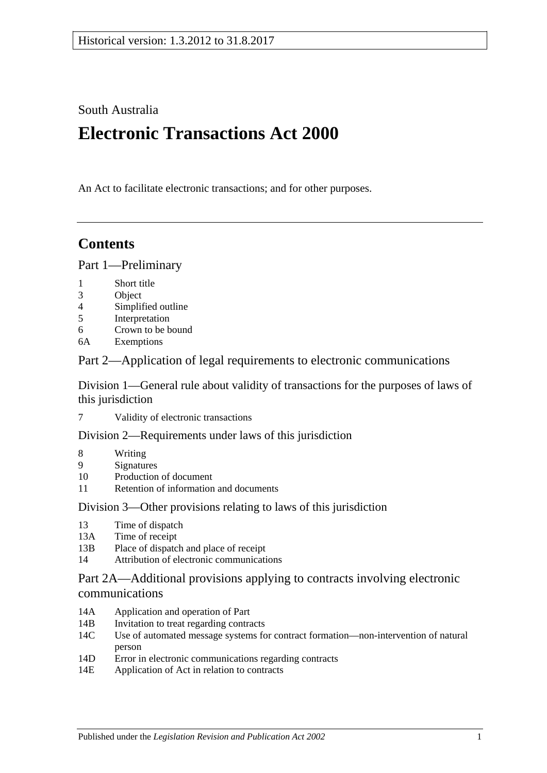South Australia

# **Electronic Transactions Act 2000**

An Act to facilitate electronic transactions; and for other purposes.

## **Contents**

[Part 1—Preliminary](#page-1-0)

- 1 [Short title](#page-1-1)
- 3 [Object](#page-1-2)
- 4 [Simplified outline](#page-1-3)
- 5 [Interpretation](#page-2-0)
- 6 [Crown to be bound](#page-3-0)
- 6A [Exemptions](#page-3-1)

[Part 2—Application of legal requirements to electronic communications](#page-4-0)

[Division 1—General rule about validity of transactions for the purposes of laws of](#page-4-1)  [this jurisdiction](#page-4-1)

7 [Validity of electronic transactions](#page-4-2)

[Division 2—Requirements under laws of this jurisdiction](#page-4-3)

- 8 [Writing](#page-4-4)
- 9 [Signatures](#page-5-0)
- 10 [Production of document](#page-6-0)
- 11 [Retention of information and documents](#page-7-0)

[Division 3—Other provisions relating to laws of this jurisdiction](#page-8-0)

- 13 [Time of dispatch](#page-8-1)
- 13A [Time of receipt](#page-9-0)
- 13B [Place of dispatch and place of receipt](#page-9-1)
- 14 [Attribution of electronic communications](#page-10-0)

## [Part 2A—Additional provisions applying to contracts involving electronic](#page-10-1)  [communications](#page-10-1)

- 14A [Application and operation of Part](#page-10-2)
- 14B [Invitation to treat regarding contracts](#page-10-3)
- 14C [Use of automated message systems for contract formation—non-intervention of natural](#page-11-0)  [person](#page-11-0)
- 14D [Error in electronic communications regarding contracts](#page-11-1)
- 14E [Application of Act in relation to contracts](#page-12-0)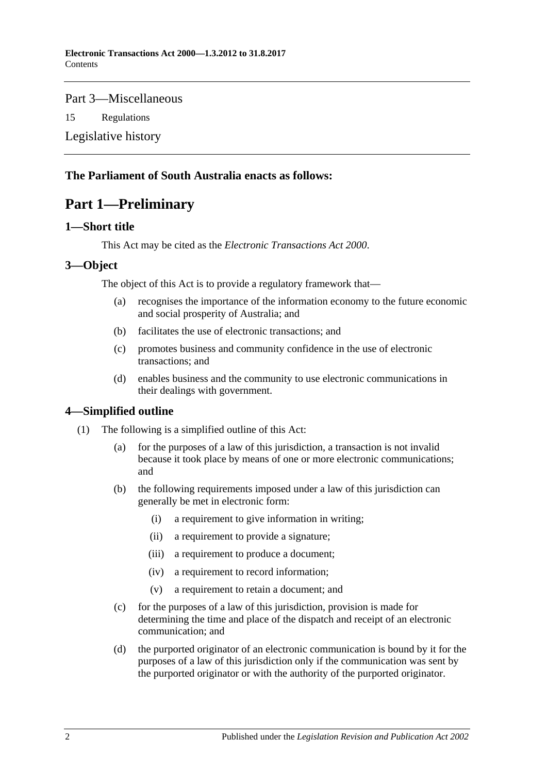#### [Part 3—Miscellaneous](#page-12-1)

15 [Regulations](#page-12-2)

[Legislative history](#page-13-0)

## <span id="page-1-0"></span>**The Parliament of South Australia enacts as follows:**

## **Part 1—Preliminary**

#### <span id="page-1-1"></span>**1—Short title**

This Act may be cited as the *Electronic Transactions Act 2000*.

#### <span id="page-1-2"></span>**3—Object**

The object of this Act is to provide a regulatory framework that—

- (a) recognises the importance of the information economy to the future economic and social prosperity of Australia; and
- (b) facilitates the use of electronic transactions; and
- (c) promotes business and community confidence in the use of electronic transactions; and
- (d) enables business and the community to use electronic communications in their dealings with government.

### <span id="page-1-3"></span>**4—Simplified outline**

- (1) The following is a simplified outline of this Act:
	- (a) for the purposes of a law of this jurisdiction, a transaction is not invalid because it took place by means of one or more electronic communications; and
	- (b) the following requirements imposed under a law of this jurisdiction can generally be met in electronic form:
		- (i) a requirement to give information in writing;
		- (ii) a requirement to provide a signature;
		- (iii) a requirement to produce a document;
		- (iv) a requirement to record information;
		- (v) a requirement to retain a document; and
	- (c) for the purposes of a law of this jurisdiction, provision is made for determining the time and place of the dispatch and receipt of an electronic communication; and
	- (d) the purported originator of an electronic communication is bound by it for the purposes of a law of this jurisdiction only if the communication was sent by the purported originator or with the authority of the purported originator.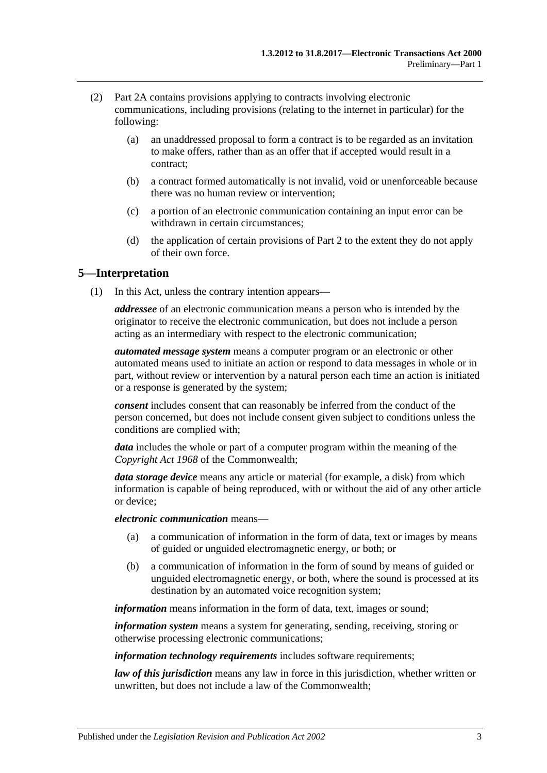- (2) [Part 2A](#page-10-1) contains provisions applying to contracts involving electronic communications, including provisions (relating to the internet in particular) for the following:
	- (a) an unaddressed proposal to form a contract is to be regarded as an invitation to make offers, rather than as an offer that if accepted would result in a contract;
	- (b) a contract formed automatically is not invalid, void or unenforceable because there was no human review or intervention;
	- (c) a portion of an electronic communication containing an input error can be withdrawn in certain circumstances;
	- (d) the application of certain provisions of [Part 2](#page-4-0) to the extent they do not apply of their own force.

### <span id="page-2-0"></span>**5—Interpretation**

(1) In this Act, unless the contrary intention appears—

*addressee* of an electronic communication means a person who is intended by the originator to receive the electronic communication, but does not include a person acting as an intermediary with respect to the electronic communication;

*automated message system* means a computer program or an electronic or other automated means used to initiate an action or respond to data messages in whole or in part, without review or intervention by a natural person each time an action is initiated or a response is generated by the system;

*consent* includes consent that can reasonably be inferred from the conduct of the person concerned, but does not include consent given subject to conditions unless the conditions are complied with;

*data* includes the whole or part of a computer program within the meaning of the *Copyright Act 1968* of the Commonwealth;

*data storage device* means any article or material (for example, a disk) from which information is capable of being reproduced, with or without the aid of any other article or device;

*electronic communication* means—

- (a) a communication of information in the form of data, text or images by means of guided or unguided electromagnetic energy, or both; or
- (b) a communication of information in the form of sound by means of guided or unguided electromagnetic energy, or both, where the sound is processed at its destination by an automated voice recognition system;

*information* means information in the form of data, text, images or sound;

*information system* means a system for generating, sending, receiving, storing or otherwise processing electronic communications;

*information technology requirements* includes software requirements;

*law of this jurisdiction* means any law in force in this jurisdiction, whether written or unwritten, but does not include a law of the Commonwealth;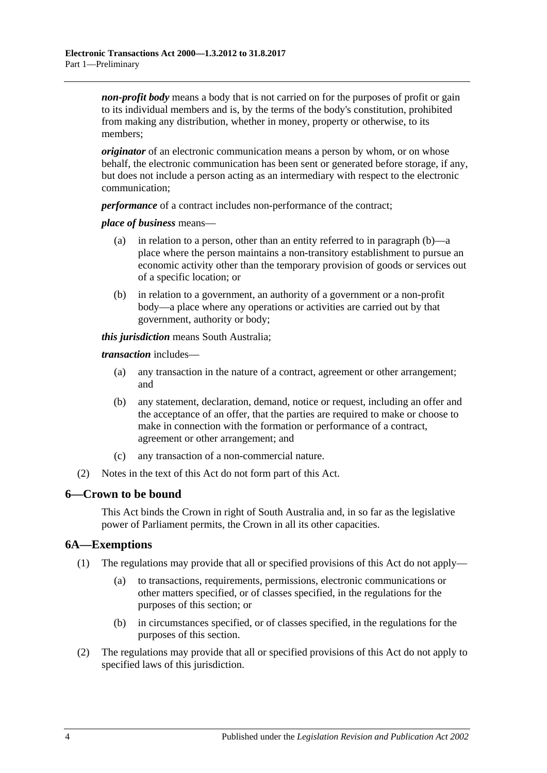*non-profit body* means a body that is not carried on for the purposes of profit or gain to its individual members and is, by the terms of the body's constitution, prohibited from making any distribution, whether in money, property or otherwise, to its members;

*originator* of an electronic communication means a person by whom, or on whose behalf, the electronic communication has been sent or generated before storage, if any, but does not include a person acting as an intermediary with respect to the electronic communication;

*performance* of a contract includes non-performance of the contract;

*place of business* means—

- (a) in relation to a person, other than an entity referred to in [paragraph](#page-3-2) (b)—a place where the person maintains a non-transitory establishment to pursue an economic activity other than the temporary provision of goods or services out of a specific location; or
- <span id="page-3-2"></span>(b) in relation to a government, an authority of a government or a non-profit body—a place where any operations or activities are carried out by that government, authority or body;

*this jurisdiction* means South Australia;

*transaction* includes—

- (a) any transaction in the nature of a contract, agreement or other arrangement; and
- (b) any statement, declaration, demand, notice or request, including an offer and the acceptance of an offer, that the parties are required to make or choose to make in connection with the formation or performance of a contract, agreement or other arrangement; and
- (c) any transaction of a non-commercial nature.
- (2) Notes in the text of this Act do not form part of this Act.

### <span id="page-3-0"></span>**6—Crown to be bound**

This Act binds the Crown in right of South Australia and, in so far as the legislative power of Parliament permits, the Crown in all its other capacities.

### <span id="page-3-1"></span>**6A—Exemptions**

- (1) The regulations may provide that all or specified provisions of this Act do not apply—
	- (a) to transactions, requirements, permissions, electronic communications or other matters specified, or of classes specified, in the regulations for the purposes of this section; or
	- (b) in circumstances specified, or of classes specified, in the regulations for the purposes of this section.
- (2) The regulations may provide that all or specified provisions of this Act do not apply to specified laws of this jurisdiction.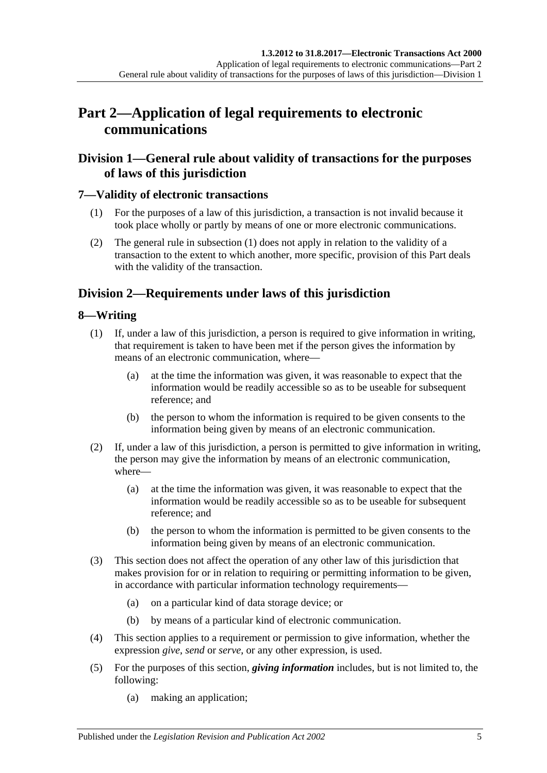## <span id="page-4-0"></span>**Part 2—Application of legal requirements to electronic communications**

## <span id="page-4-1"></span>**Division 1—General rule about validity of transactions for the purposes of laws of this jurisdiction**

## <span id="page-4-5"></span><span id="page-4-2"></span>**7—Validity of electronic transactions**

- (1) For the purposes of a law of this jurisdiction, a transaction is not invalid because it took place wholly or partly by means of one or more electronic communications.
- (2) The general rule in [subsection](#page-4-5) (1) does not apply in relation to the validity of a transaction to the extent to which another, more specific, provision of this Part deals with the validity of the transaction.

## <span id="page-4-3"></span>**Division 2—Requirements under laws of this jurisdiction**

## <span id="page-4-4"></span>**8—Writing**

- (1) If, under a law of this jurisdiction, a person is required to give information in writing, that requirement is taken to have been met if the person gives the information by means of an electronic communication, where—
	- (a) at the time the information was given, it was reasonable to expect that the information would be readily accessible so as to be useable for subsequent reference; and
	- (b) the person to whom the information is required to be given consents to the information being given by means of an electronic communication.
- (2) If, under a law of this jurisdiction, a person is permitted to give information in writing, the person may give the information by means of an electronic communication, where—
	- (a) at the time the information was given, it was reasonable to expect that the information would be readily accessible so as to be useable for subsequent reference; and
	- (b) the person to whom the information is permitted to be given consents to the information being given by means of an electronic communication.
- (3) This section does not affect the operation of any other law of this jurisdiction that makes provision for or in relation to requiring or permitting information to be given, in accordance with particular information technology requirements—
	- (a) on a particular kind of data storage device; or
	- (b) by means of a particular kind of electronic communication.
- (4) This section applies to a requirement or permission to give information, whether the expression *give*, *send* or *serve*, or any other expression, is used.
- (5) For the purposes of this section, *giving information* includes, but is not limited to, the following:
	- (a) making an application;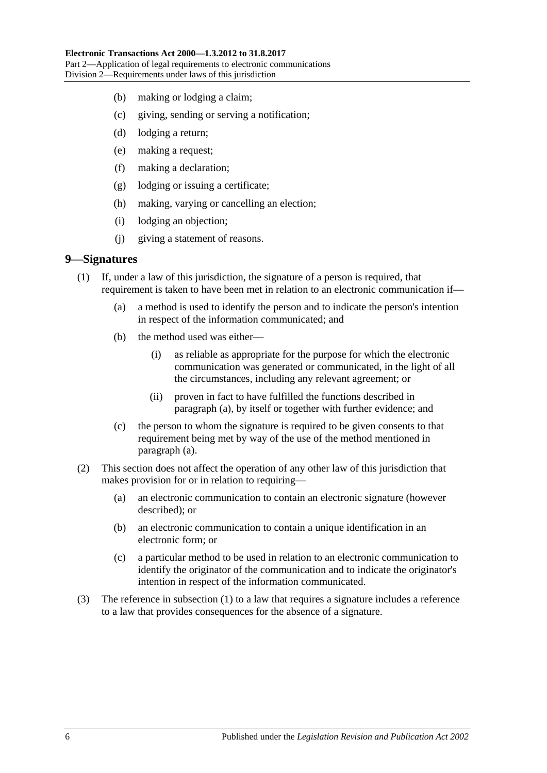- (b) making or lodging a claim;
- (c) giving, sending or serving a notification;
- (d) lodging a return;
- (e) making a request;
- (f) making a declaration;
- (g) lodging or issuing a certificate;
- (h) making, varying or cancelling an election;
- (i) lodging an objection;
- (j) giving a statement of reasons.

#### <span id="page-5-2"></span><span id="page-5-0"></span>**9—Signatures**

- <span id="page-5-1"></span>(1) If, under a law of this jurisdiction, the signature of a person is required, that requirement is taken to have been met in relation to an electronic communication if—
	- (a) a method is used to identify the person and to indicate the person's intention in respect of the information communicated; and
	- (b) the method used was either—
		- (i) as reliable as appropriate for the purpose for which the electronic communication was generated or communicated, in the light of all the circumstances, including any relevant agreement; or
		- (ii) proven in fact to have fulfilled the functions described in [paragraph](#page-5-1) (a), by itself or together with further evidence; and
	- (c) the person to whom the signature is required to be given consents to that requirement being met by way of the use of the method mentioned in [paragraph](#page-5-1) (a).
- (2) This section does not affect the operation of any other law of this jurisdiction that makes provision for or in relation to requiring—
	- (a) an electronic communication to contain an electronic signature (however described); or
	- (b) an electronic communication to contain a unique identification in an electronic form; or
	- (c) a particular method to be used in relation to an electronic communication to identify the originator of the communication and to indicate the originator's intention in respect of the information communicated.
- (3) The reference in [subsection](#page-5-2) (1) to a law that requires a signature includes a reference to a law that provides consequences for the absence of a signature.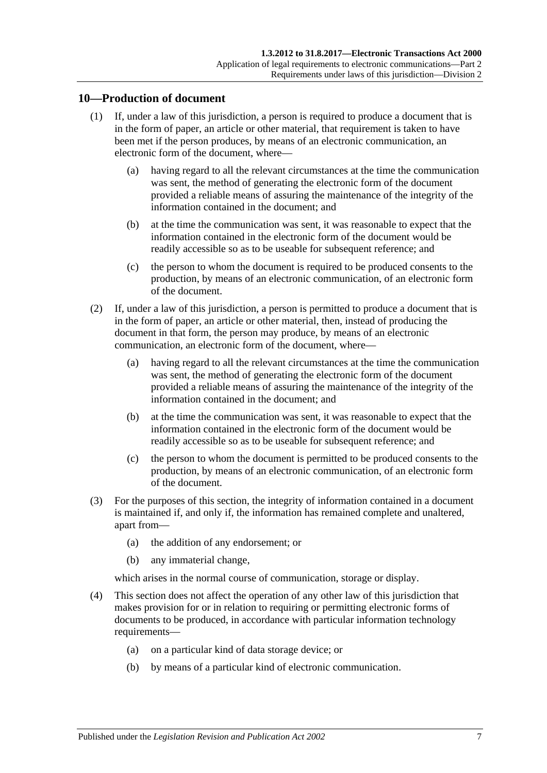#### <span id="page-6-0"></span>**10—Production of document**

- (1) If, under a law of this jurisdiction, a person is required to produce a document that is in the form of paper, an article or other material, that requirement is taken to have been met if the person produces, by means of an electronic communication, an electronic form of the document, where—
	- (a) having regard to all the relevant circumstances at the time the communication was sent, the method of generating the electronic form of the document provided a reliable means of assuring the maintenance of the integrity of the information contained in the document; and
	- (b) at the time the communication was sent, it was reasonable to expect that the information contained in the electronic form of the document would be readily accessible so as to be useable for subsequent reference; and
	- (c) the person to whom the document is required to be produced consents to the production, by means of an electronic communication, of an electronic form of the document.
- (2) If, under a law of this jurisdiction, a person is permitted to produce a document that is in the form of paper, an article or other material, then, instead of producing the document in that form, the person may produce, by means of an electronic communication, an electronic form of the document, where—
	- (a) having regard to all the relevant circumstances at the time the communication was sent, the method of generating the electronic form of the document provided a reliable means of assuring the maintenance of the integrity of the information contained in the document; and
	- (b) at the time the communication was sent, it was reasonable to expect that the information contained in the electronic form of the document would be readily accessible so as to be useable for subsequent reference; and
	- (c) the person to whom the document is permitted to be produced consents to the production, by means of an electronic communication, of an electronic form of the document.
- (3) For the purposes of this section, the integrity of information contained in a document is maintained if, and only if, the information has remained complete and unaltered, apart from—
	- (a) the addition of any endorsement; or
	- (b) any immaterial change,

which arises in the normal course of communication, storage or display.

- (4) This section does not affect the operation of any other law of this jurisdiction that makes provision for or in relation to requiring or permitting electronic forms of documents to be produced, in accordance with particular information technology requirements—
	- (a) on a particular kind of data storage device; or
	- (b) by means of a particular kind of electronic communication.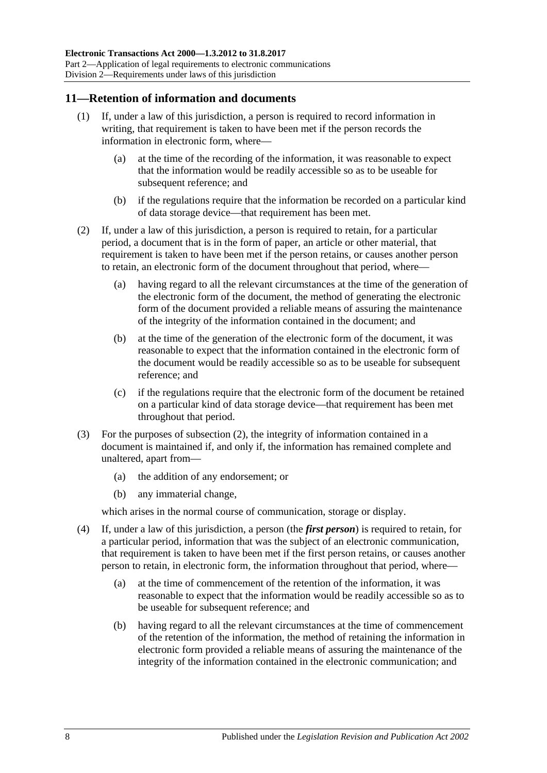### <span id="page-7-0"></span>**11—Retention of information and documents**

- (1) If, under a law of this jurisdiction, a person is required to record information in writing, that requirement is taken to have been met if the person records the information in electronic form, where—
	- (a) at the time of the recording of the information, it was reasonable to expect that the information would be readily accessible so as to be useable for subsequent reference; and
	- (b) if the regulations require that the information be recorded on a particular kind of data storage device—that requirement has been met.
- <span id="page-7-1"></span>(2) If, under a law of this jurisdiction, a person is required to retain, for a particular period, a document that is in the form of paper, an article or other material, that requirement is taken to have been met if the person retains, or causes another person to retain, an electronic form of the document throughout that period, where—
	- (a) having regard to all the relevant circumstances at the time of the generation of the electronic form of the document, the method of generating the electronic form of the document provided a reliable means of assuring the maintenance of the integrity of the information contained in the document; and
	- (b) at the time of the generation of the electronic form of the document, it was reasonable to expect that the information contained in the electronic form of the document would be readily accessible so as to be useable for subsequent reference; and
	- (c) if the regulations require that the electronic form of the document be retained on a particular kind of data storage device—that requirement has been met throughout that period.
- (3) For the purposes of [subsection](#page-7-1) (2), the integrity of information contained in a document is maintained if, and only if, the information has remained complete and unaltered, apart from—
	- (a) the addition of any endorsement; or
	- (b) any immaterial change,

which arises in the normal course of communication, storage or display.

- <span id="page-7-2"></span>(4) If, under a law of this jurisdiction, a person (the *first person*) is required to retain, for a particular period, information that was the subject of an electronic communication, that requirement is taken to have been met if the first person retains, or causes another person to retain, in electronic form, the information throughout that period, where—
	- (a) at the time of commencement of the retention of the information, it was reasonable to expect that the information would be readily accessible so as to be useable for subsequent reference; and
	- (b) having regard to all the relevant circumstances at the time of commencement of the retention of the information, the method of retaining the information in electronic form provided a reliable means of assuring the maintenance of the integrity of the information contained in the electronic communication; and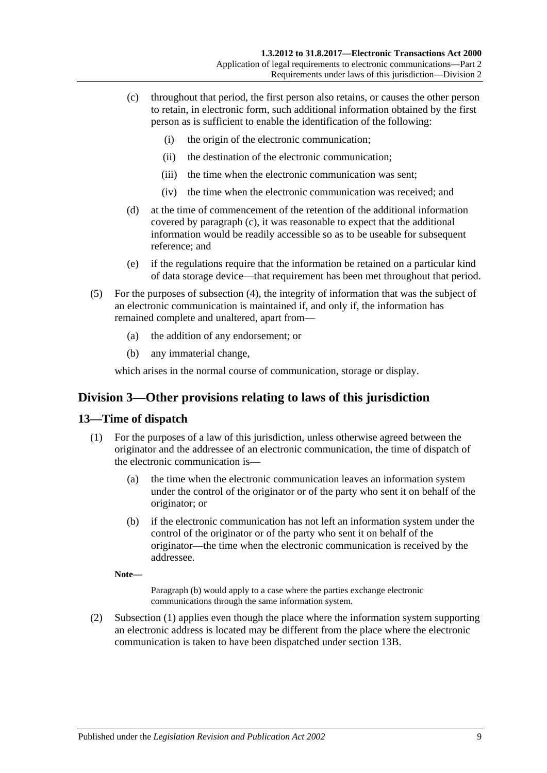- <span id="page-8-2"></span>(c) throughout that period, the first person also retains, or causes the other person to retain, in electronic form, such additional information obtained by the first person as is sufficient to enable the identification of the following:
	- (i) the origin of the electronic communication;
	- (ii) the destination of the electronic communication;
	- (iii) the time when the electronic communication was sent;
	- (iv) the time when the electronic communication was received; and
- (d) at the time of commencement of the retention of the additional information covered by [paragraph](#page-8-2) (c), it was reasonable to expect that the additional information would be readily accessible so as to be useable for subsequent reference; and
- (e) if the regulations require that the information be retained on a particular kind of data storage device—that requirement has been met throughout that period.
- (5) For the purposes of [subsection](#page-7-2) (4), the integrity of information that was the subject of an electronic communication is maintained if, and only if, the information has remained complete and unaltered, apart from—
	- (a) the addition of any endorsement; or
	- (b) any immaterial change,

which arises in the normal course of communication, storage or display.

## <span id="page-8-0"></span>**Division 3—Other provisions relating to laws of this jurisdiction**

#### <span id="page-8-4"></span><span id="page-8-1"></span>**13—Time of dispatch**

- (1) For the purposes of a law of this jurisdiction, unless otherwise agreed between the originator and the addressee of an electronic communication, the time of dispatch of the electronic communication is—
	- (a) the time when the electronic communication leaves an information system under the control of the originator or of the party who sent it on behalf of the originator; or
	- (b) if the electronic communication has not left an information system under the control of the originator or of the party who sent it on behalf of the originator—the time when the electronic communication is received by the addressee.

<span id="page-8-3"></span>**Note—**

[Paragraph](#page-8-3) (b) would apply to a case where the parties exchange electronic communications through the same information system.

(2) [Subsection](#page-8-4) (1) applies even though the place where the information system supporting an electronic address is located may be different from the place where the electronic communication is taken to have been dispatched under [section](#page-9-1) 13B.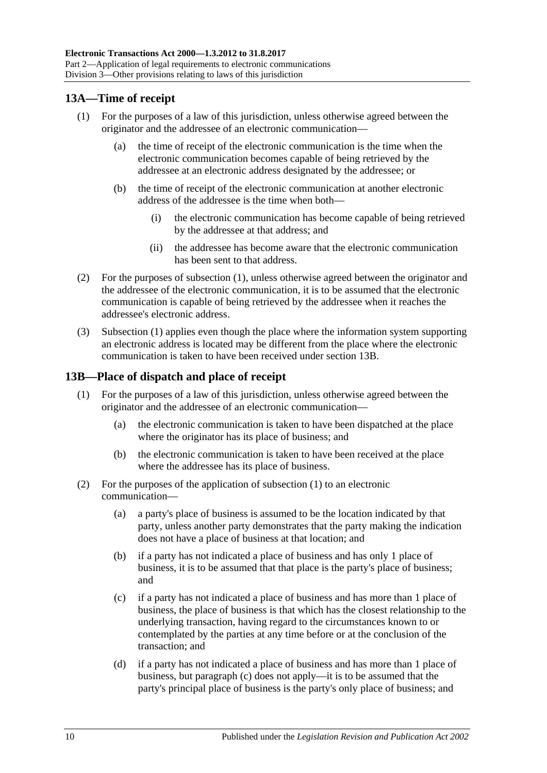## <span id="page-9-2"></span><span id="page-9-0"></span>**13A—Time of receipt**

- (1) For the purposes of a law of this jurisdiction, unless otherwise agreed between the originator and the addressee of an electronic communication—
	- (a) the time of receipt of the electronic communication is the time when the electronic communication becomes capable of being retrieved by the addressee at an electronic address designated by the addressee; or
	- (b) the time of receipt of the electronic communication at another electronic address of the addressee is the time when both—
		- (i) the electronic communication has become capable of being retrieved by the addressee at that address; and
		- (ii) the addressee has become aware that the electronic communication has been sent to that address.
- (2) For the purposes of [subsection](#page-9-2) (1), unless otherwise agreed between the originator and the addressee of the electronic communication, it is to be assumed that the electronic communication is capable of being retrieved by the addressee when it reaches the addressee's electronic address.
- (3) [Subsection](#page-9-2) (1) applies even though the place where the information system supporting an electronic address is located may be different from the place where the electronic communication is taken to have been received under [section](#page-9-1) 13B.

### <span id="page-9-3"></span><span id="page-9-1"></span>**13B—Place of dispatch and place of receipt**

- (1) For the purposes of a law of this jurisdiction, unless otherwise agreed between the originator and the addressee of an electronic communication—
	- (a) the electronic communication is taken to have been dispatched at the place where the originator has its place of business; and
	- (b) the electronic communication is taken to have been received at the place where the addressee has its place of business.
- <span id="page-9-4"></span>(2) For the purposes of the application of [subsection](#page-9-3) (1) to an electronic communication—
	- (a) a party's place of business is assumed to be the location indicated by that party, unless another party demonstrates that the party making the indication does not have a place of business at that location; and
	- (b) if a party has not indicated a place of business and has only 1 place of business, it is to be assumed that that place is the party's place of business; and
	- (c) if a party has not indicated a place of business and has more than 1 place of business, the place of business is that which has the closest relationship to the underlying transaction, having regard to the circumstances known to or contemplated by the parties at any time before or at the conclusion of the transaction; and
	- (d) if a party has not indicated a place of business and has more than 1 place of business, but [paragraph](#page-9-4) (c) does not apply—it is to be assumed that the party's principal place of business is the party's only place of business; and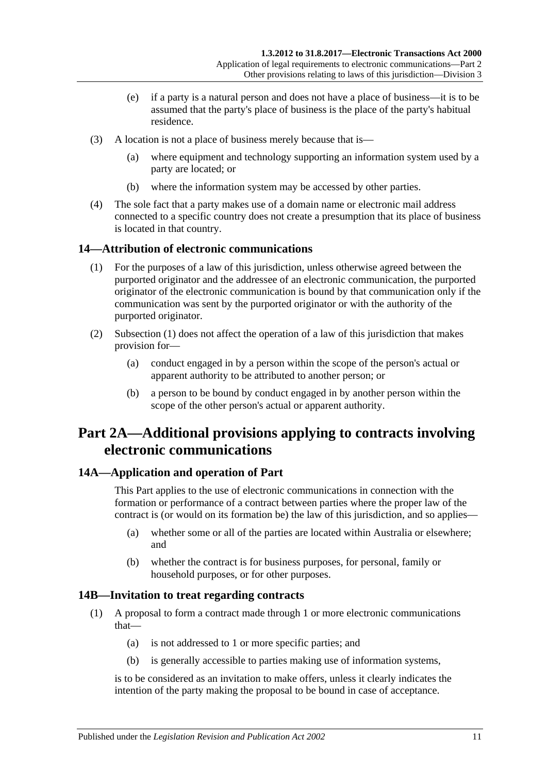- (e) if a party is a natural person and does not have a place of business—it is to be assumed that the party's place of business is the place of the party's habitual residence.
- (3) A location is not a place of business merely because that is—
	- (a) where equipment and technology supporting an information system used by a party are located; or
	- (b) where the information system may be accessed by other parties.
- (4) The sole fact that a party makes use of a domain name or electronic mail address connected to a specific country does not create a presumption that its place of business is located in that country.

## <span id="page-10-4"></span><span id="page-10-0"></span>**14—Attribution of electronic communications**

- (1) For the purposes of a law of this jurisdiction, unless otherwise agreed between the purported originator and the addressee of an electronic communication, the purported originator of the electronic communication is bound by that communication only if the communication was sent by the purported originator or with the authority of the purported originator.
- (2) [Subsection](#page-10-4) (1) does not affect the operation of a law of this jurisdiction that makes provision for—
	- (a) conduct engaged in by a person within the scope of the person's actual or apparent authority to be attributed to another person; or
	- (b) a person to be bound by conduct engaged in by another person within the scope of the other person's actual or apparent authority.

## <span id="page-10-1"></span>**Part 2A—Additional provisions applying to contracts involving electronic communications**

## <span id="page-10-2"></span>**14A—Application and operation of Part**

This Part applies to the use of electronic communications in connection with the formation or performance of a contract between parties where the proper law of the contract is (or would on its formation be) the law of this jurisdiction, and so applies—

- (a) whether some or all of the parties are located within Australia or elsewhere; and
- (b) whether the contract is for business purposes, for personal, family or household purposes, or for other purposes.

### <span id="page-10-5"></span><span id="page-10-3"></span>**14B—Invitation to treat regarding contracts**

- (1) A proposal to form a contract made through 1 or more electronic communications that—
	- (a) is not addressed to 1 or more specific parties; and
	- (b) is generally accessible to parties making use of information systems,

is to be considered as an invitation to make offers, unless it clearly indicates the intention of the party making the proposal to be bound in case of acceptance.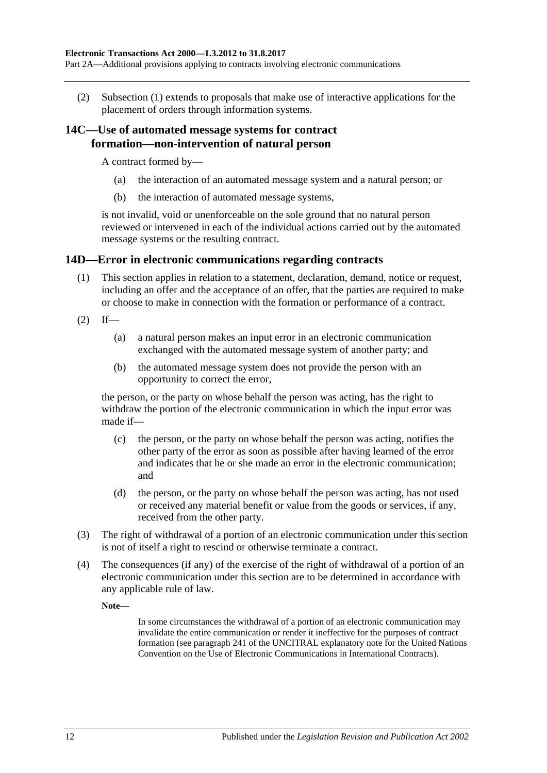(2) [Subsection](#page-10-5) (1) extends to proposals that make use of interactive applications for the placement of orders through information systems.

### <span id="page-11-0"></span>**14C—Use of automated message systems for contract formation—non-intervention of natural person**

A contract formed by—

- (a) the interaction of an automated message system and a natural person; or
- (b) the interaction of automated message systems,

is not invalid, void or unenforceable on the sole ground that no natural person reviewed or intervened in each of the individual actions carried out by the automated message systems or the resulting contract.

### <span id="page-11-1"></span>**14D—Error in electronic communications regarding contracts**

- (1) This section applies in relation to a statement, declaration, demand, notice or request, including an offer and the acceptance of an offer, that the parties are required to make or choose to make in connection with the formation or performance of a contract.
- $(2)$  If—
	- (a) a natural person makes an input error in an electronic communication exchanged with the automated message system of another party; and
	- (b) the automated message system does not provide the person with an opportunity to correct the error,

the person, or the party on whose behalf the person was acting, has the right to withdraw the portion of the electronic communication in which the input error was made if—

- (c) the person, or the party on whose behalf the person was acting, notifies the other party of the error as soon as possible after having learned of the error and indicates that he or she made an error in the electronic communication; and
- (d) the person, or the party on whose behalf the person was acting, has not used or received any material benefit or value from the goods or services, if any, received from the other party.
- (3) The right of withdrawal of a portion of an electronic communication under this section is not of itself a right to rescind or otherwise terminate a contract.
- (4) The consequences (if any) of the exercise of the right of withdrawal of a portion of an electronic communication under this section are to be determined in accordance with any applicable rule of law.

**Note—**

In some circumstances the withdrawal of a portion of an electronic communication may invalidate the entire communication or render it ineffective for the purposes of contract formation (see paragraph 241 of the UNCITRAL explanatory note for the United Nations Convention on the Use of Electronic Communications in International Contracts).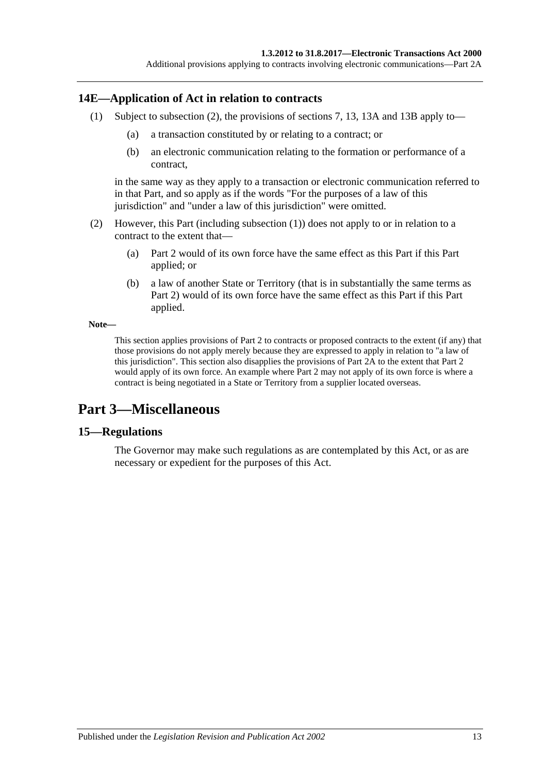## <span id="page-12-4"></span><span id="page-12-0"></span>**14E—Application of Act in relation to contracts**

- (1) Subject to [subsection](#page-12-3) (2), the provisions of [sections](#page-4-2) 7, [13,](#page-8-1) [13A](#page-9-0) and [13B](#page-9-1) apply to—
	- (a) a transaction constituted by or relating to a contract; or
	- (b) an electronic communication relating to the formation or performance of a contract,

in the same way as they apply to a transaction or electronic communication referred to in that Part, and so apply as if the words "For the purposes of a law of this jurisdiction" and "under a law of this jurisdiction" were omitted.

- <span id="page-12-3"></span>(2) However, this Part (including [subsection](#page-12-4) (1)) does not apply to or in relation to a contract to the extent that—
	- (a) [Part 2](#page-4-0) would of its own force have the same effect as this Part if this Part applied; or
	- (b) a law of another State or Territory (that is in substantially the same terms as Part 2) would of its own force have the same effect as this Part if this Part applied.

#### **Note—**

This section applies provisions o[f Part 2](#page-4-0) to contracts or proposed contracts to the extent (if any) that those provisions do not apply merely because they are expressed to apply in relation to "a law of this jurisdiction". This section also disapplies the provisions of Part 2A to the extent that [Part 2](#page-4-0) would apply of its own force. An example where [Part 2](#page-4-0) may not apply of its own force is where a contract is being negotiated in a State or Territory from a supplier located overseas.

## <span id="page-12-1"></span>**Part 3—Miscellaneous**

### <span id="page-12-2"></span>**15—Regulations**

The Governor may make such regulations as are contemplated by this Act, or as are necessary or expedient for the purposes of this Act.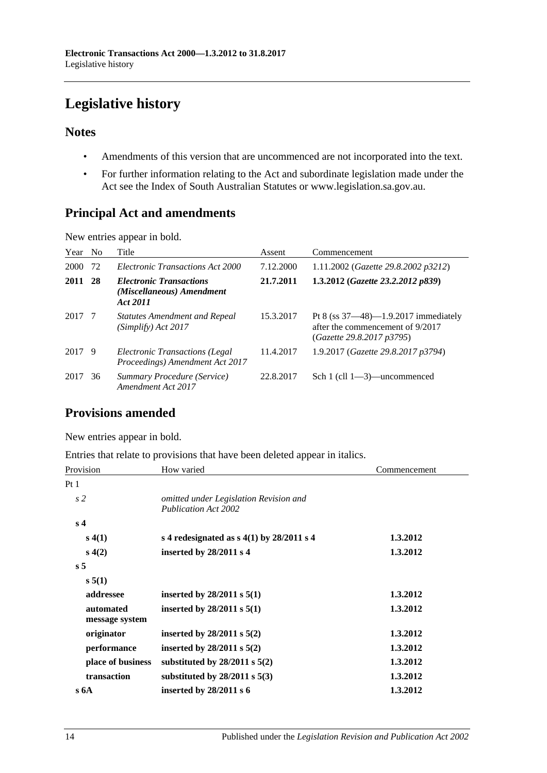## <span id="page-13-0"></span>**Legislative history**

## **Notes**

- Amendments of this version that are uncommenced are not incorporated into the text.
- For further information relating to the Act and subordinate legislation made under the Act see the Index of South Australian Statutes or www.legislation.sa.gov.au.

## **Principal Act and amendments**

New entries appear in bold.

| Year   | N <sub>0</sub> | Title                                                                   | Assent    | Commencement                                                                                          |
|--------|----------------|-------------------------------------------------------------------------|-----------|-------------------------------------------------------------------------------------------------------|
| 2000   | 72             | Electronic Transactions Act 2000                                        | 7.12.2000 | 1.11.2002 (Gazette 29.8.2002 p3212)                                                                   |
| 2011   | 28             | <b>Electronic Transactions</b><br>(Miscellaneous) Amendment<br>Act 2011 | 21.7.2011 | 1.3.2012 (Gazette 23.2.2012 p839)                                                                     |
| 2017   | - 7            | <b>Statutes Amendment and Repeal</b><br>(Simplify) Act 2017             | 15.3.2017 | Pt 8 (ss 37-48)-1.9.2017 immediately<br>after the commencement of 9/2017<br>(Gazette 29.8.2017 p3795) |
| 2017 9 |                | Electronic Transactions (Legal<br>Proceedings) Amendment Act 2017       | 11.4.2017 | 1.9.2017 (Gazette 29.8.2017 p3794)                                                                    |
| 2017   | 36             | Summary Procedure (Service)<br>Amendment Act 2017                       | 22.8.2017 | Sch 1 (cll 1—3)—uncommenced                                                                           |

## **Provisions amended**

New entries appear in bold.

Entries that relate to provisions that have been deleted appear in italics.

| Provision                   | How varied                                                            | Commencement |  |
|-----------------------------|-----------------------------------------------------------------------|--------------|--|
| Pt 1                        |                                                                       |              |  |
| s <sub>2</sub>              | omitted under Legislation Revision and<br><b>Publication Act 2002</b> |              |  |
| s <sub>4</sub>              |                                                                       |              |  |
| s(4(1))                     | s 4 redesignated as $s$ 4(1) by 28/2011 s 4                           | 1.3.2012     |  |
| s(4(2))                     | inserted by 28/2011 s 4                                               | 1.3.2012     |  |
| s <sub>5</sub>              |                                                                       |              |  |
| s 5(1)                      |                                                                       |              |  |
| addressee                   | inserted by $28/2011$ s $5(1)$                                        | 1.3.2012     |  |
| automated<br>message system | inserted by $28/2011$ s $5(1)$                                        | 1.3.2012     |  |
| originator                  | inserted by $28/2011$ s $5(2)$                                        | 1.3.2012     |  |
| performance                 | inserted by $28/2011 s 5(2)$                                          | 1.3.2012     |  |
| place of business           | substituted by $28/2011$ s $5(2)$                                     | 1.3.2012     |  |
| transaction                 | substituted by $28/2011$ s $5(3)$                                     | 1.3.2012     |  |
| s6A                         | inserted by $28/2011 s 6$                                             | 1.3.2012     |  |
|                             |                                                                       |              |  |